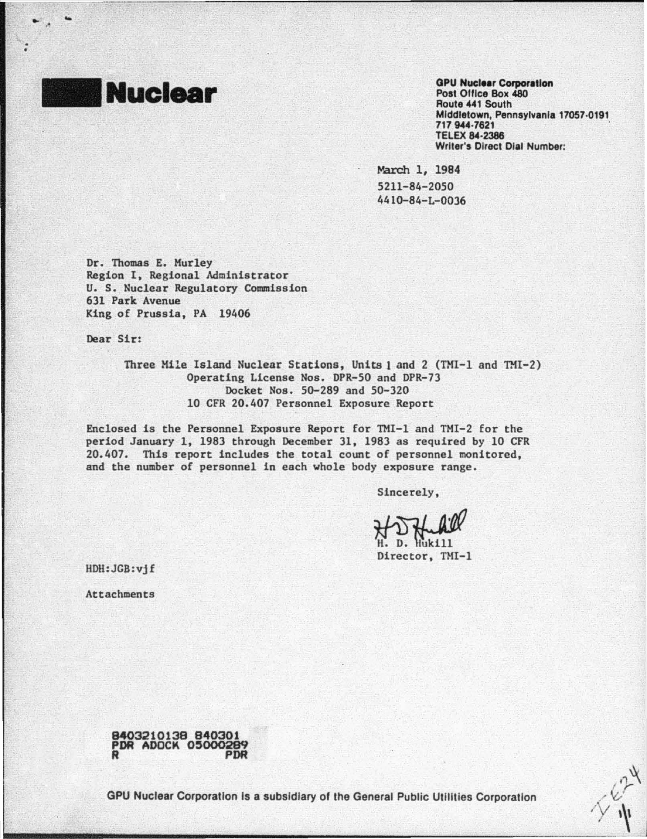

.. .

•

OPU Nuclear Corporation Post Office Box 480 Route 441 South Middletown, Pennsylvania 17057·0191 717 944-7621 TELEX 84·2386 Writer's Direct Dial Number:

March 1, 1984 5211-84-2050 4410-84-L-0036

Dr. Thomas E. Murley Region I, Regional Administrator U. S. Nuclear Regulatory Commission 631 Park Avenue King of Prussia, PA 19406

Dear Sir:

Three Mile Island Nuclear Stations, Units 1 and 2 (TMI-1 and TMI-2) Operating License Nos. DPR-50 and DPR-73 Docket Nos. SG-289 and 50-320 10 CFR 20.407 Personnel Exposure Report

Enclosed is the Personnel Exposure Report for TMI-1 and TMI-2 for the period January 1, 1983 through December 31, 1983 as required by 10 CFR 20.407. This report includes the total count of personnel monitored, and the number of personnel in each whole body exposure range.

Sincerely,

Sincerely,<br> $\frac{1}{N} \sum_{\substack{n \text{th}} \text{th}} \frac{1}{N}$ 

HDH:JGB:vj f

Attachments



GPU Nuclear Corporation Is a subsidiary of the General Public Utilities Corporation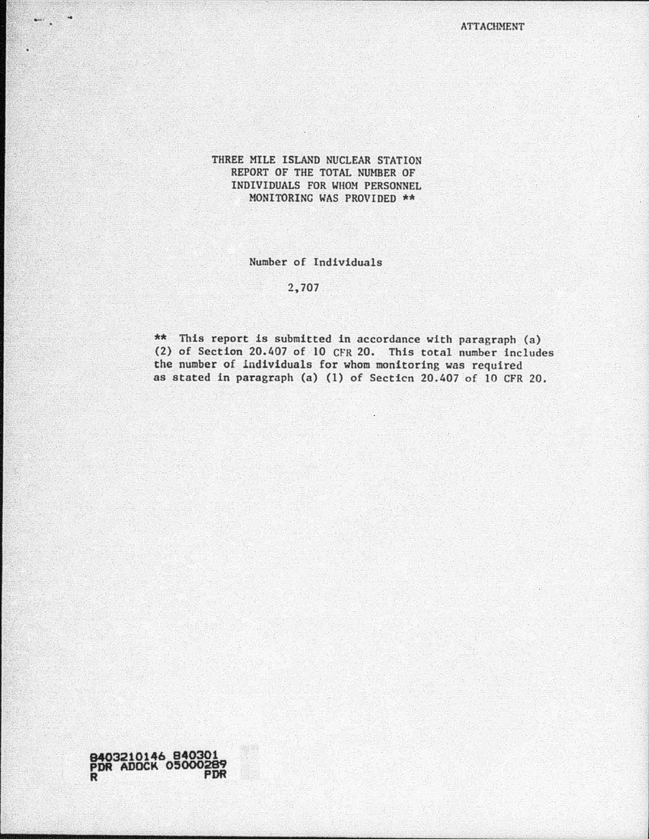ATTACHMENT

 $\mathcal{L}=\mathcal{L}=\mathcal{L}=\mathcal{L}=\mathcal{L}=\mathcal{L}=\mathcal{L}=\mathcal{L}=\mathcal{L}=\mathcal{L}=\mathcal{L}=\mathcal{L}=\mathcal{L}=\mathcal{L}=\mathcal{L}=\mathcal{L}=\mathcal{L}=\mathcal{L}=\mathcal{L}=\mathcal{L}=\mathcal{L}=\mathcal{L}=\mathcal{L}=\mathcal{L}=\mathcal{L}=\mathcal{L}=\mathcal{L}=\mathcal{L}=\mathcal{L}=\mathcal{L}=\mathcal{L}=\mathcal{L}=\mathcal{L}=\mathcal{L}=\mathcal{L}=\mathcal{L}=\mathcal{$ 

## THREE MILE ISLAND NUCLEAR STATION REPORT OF THE TOTAL NUMBER OF INDIVIDUALS FOR WHOM PERSONNEL MONITORING WAS PROVIDED \*\*

## Number of Individuals

## 2,707

\*\* This report is submitted in accordance with paragraph (a) (2) of Section 20.407 of 10 CFR 20. This total number includes the number of individuals for whom monitoring was required as stated in paragraph (a) (1) of Secticn 20.407 of 10 CFR 20.

**9403210146 840301 PDR ADOCK 0'000289 R PDR**